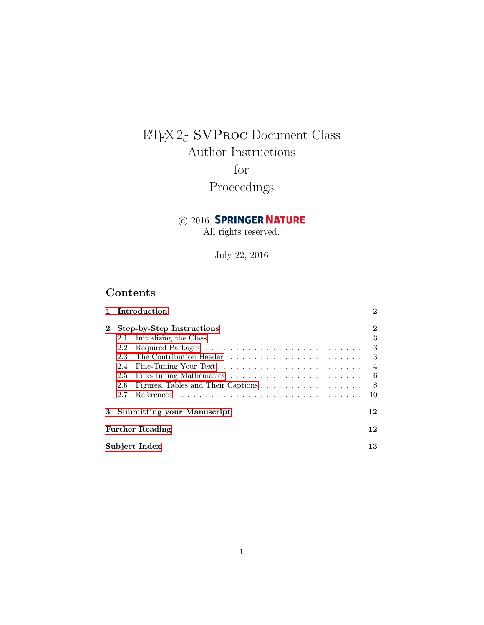# <span id="page-0-0"></span> $\mathop{\rm LHT}\nolimits_{\rm E} \! X \, 2_\varepsilon$ SVPROC Document Class Author Instructions

for

– Proceedings –

# $\odot$  2016, SPRINGER NATURE

All rights reserved.

July 22, 2016

# Contents

|              |                                         | 1 Introduction                                                                   | $\bf{2}$       |
|--------------|-----------------------------------------|----------------------------------------------------------------------------------|----------------|
| $\mathbf{2}$ | <b>Step-by-Step Instructions</b>        |                                                                                  |                |
|              | 2.1                                     | Initializing the Class $\ldots \ldots \ldots \ldots \ldots \ldots \ldots \ldots$ | -3             |
|              | 2.2                                     |                                                                                  | 3              |
|              | 2.3                                     | The Contribution Header                                                          | 3              |
|              | 2.4                                     |                                                                                  | $\overline{4}$ |
|              | 2.5                                     |                                                                                  | - 6            |
|              | 2.6                                     |                                                                                  | - 8            |
|              | 2.7                                     |                                                                                  | 10             |
| 3            | 12<br><b>Submitting your Manuscript</b> |                                                                                  |                |
|              |                                         | <b>Further Reading</b>                                                           | 12             |
|              |                                         | Subject Index                                                                    | 13             |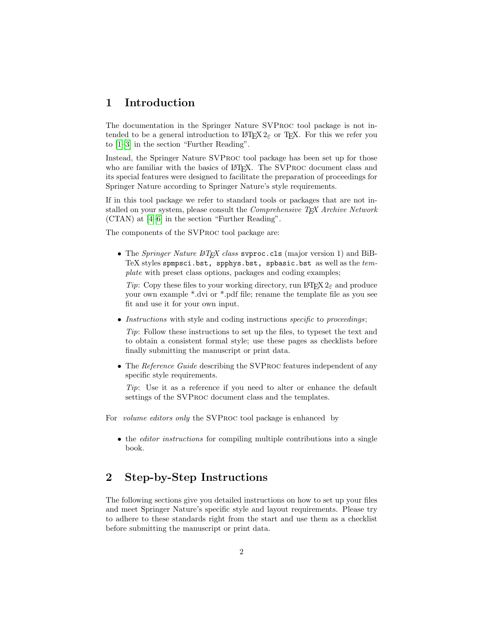# <span id="page-1-0"></span>1 Introduction

The documentation in the Springer Nature SVProc tool package is not intended to be a general introduction to LAT<sub>E</sub>X  $2_{\epsilon}$  or T<sub>E</sub>X. For this we refer you to [\[1–](#page-11-2)[3\]](#page-11-3) in the section "Further Reading".

Instead, the Springer Nature SVProc tool package has been set up for those who are familiar with the basics of LATEX. The SVPROC document class and its special features were designed to facilitate the preparation of proceedings for Springer Nature according to Springer Nature's style requirements.

If in this tool package we refer to standard tools or packages that are not installed on your system, please consult the *Comprehensive T<sub>E</sub>X* Archive Network (CTAN) at [\[4](#page-11-4)[–6\]](#page-11-5) in the section "Further Reading".

The components of the SVProc tool package are:

• The Springer Nature  $\cancel{B}T_F X$  class syproc.cls (major version 1) and BiB-TeX styles spmpsci.bst, spphys.bst, spbasic.bst as well as the template with preset class options, packages and coding examples;

Tip: Copy these files to your working directory, run LATEX  $2\varepsilon$  and produce your own example \*.dvi or \*.pdf file; rename the template file as you see fit and use it for your own input.

• Instructions with style and coding instructions specific to proceedings;

Tip: Follow these instructions to set up the files, to typeset the text and to obtain a consistent formal style; use these pages as checklists before finally submitting the manuscript or print data.

• The Reference Guide describing the SVPROC features independent of any specific style requirements.

Tip: Use it as a reference if you need to alter or enhance the default settings of the SVProc document class and the templates.

For *volume editors only* the SVPROC tool package is enhanced by

• the *editor instructions* for compiling multiple contributions into a single book.

# <span id="page-1-1"></span>2 Step-by-Step Instructions

The following sections give you detailed instructions on how to set up your files and meet Springer Nature's specific style and layout requirements. Please try to adhere to these standards right from the start and use them as a checklist before submitting the manuscript or print data.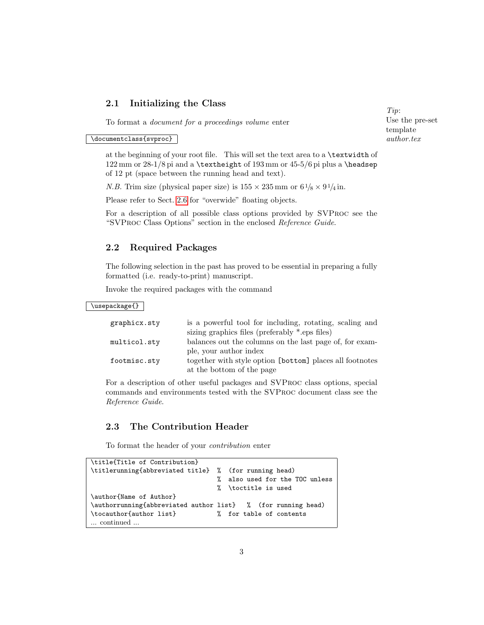#### <span id="page-2-3"></span><span id="page-2-0"></span>2.1 Initializing the Class

To format a document for a proceedings volume enter

\documentclass{svproc}

Tip: Use the pre-set template author.tex

at the beginning of your root file. This will set the text area to a \textwidth of 122 mm or 28-1/8 pi and a \textheight of 193 mm or 45-5/6 pi plus a \headsep of 12 pt (space between the running head and text).

*N.B.* Trim size (physical paper size) is  $155 \times 235$  mm or  $6\frac{1}{8} \times 9\frac{1}{4}$  in.

Please refer to Sect. [2.6](#page-7-0) for "overwide" floating objects.

For a description of all possible class options provided by SVProc see the "SVProc Class Options" section in the enclosed Reference Guide.

#### <span id="page-2-1"></span>2.2 Required Packages

The following selection in the past has proved to be essential in preparing a fully formatted (i.e. ready-to-print) manuscript.

Invoke the required packages with the command

#### \usepackage{}

| graphicx.sty | is a powerful tool for including, rotating, scaling and  |
|--------------|----------------------------------------------------------|
|              | sizing graphics files (preferably $*$ eps files)         |
| multicol.sty | balances out the columns on the last page of, for exam-  |
|              | ple, your author index                                   |
| footmisc.sty | together with style option [bottom] places all footnotes |
|              | at the bottom of the page                                |

For a description of other useful packages and SVProc class options, special commands and environments tested with the SVProc document class see the Reference Guide.

#### <span id="page-2-2"></span>2.3 The Contribution Header

To format the header of your contribution enter

```
\title{Title of Contribution}
\titlerunning{abbreviated title} % (for running head)
                                % also used for the TOC unless
                                % \toctitle is used
\author{Name of Author}
\authorrunning{abbreviated author list} % (for running head)
\tocauthor{author list} % for table of contents
... continued ...
```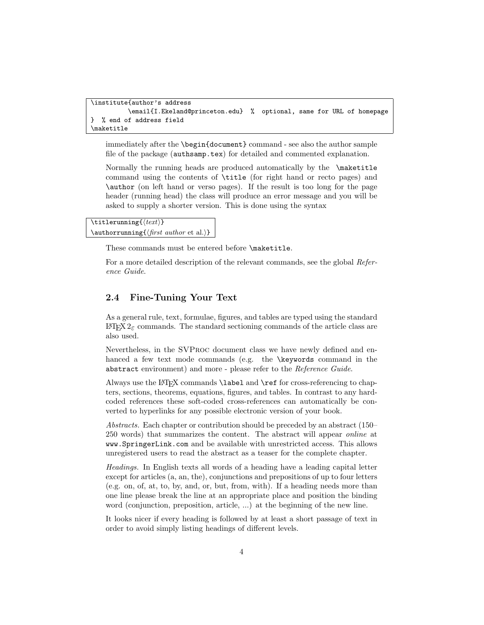```
\institute{author's address
         \email{I.Ekeland@princeton.edu} % optional, same for URL of homepage
} % end of address field
\maketitle
```
immediately after the \begin{document} command - see also the author sample file of the package (authsamp.tex) for detailed and commented explanation.

Normally the running heads are produced automatically by the \maketitle command using the contents of \title (for right hand or recto pages) and \author (on left hand or verso pages). If the result is too long for the page header (running head) the class will produce an error message and you will be asked to supply a shorter version. This is done using the syntax

\titlerunning $\{\langle text \rangle\}$ \authorrunning $\{\text{first author}$ et al.}}

These commands must be entered before \maketitle.

For a more detailed description of the relevant commands, see the global Reference Guide.

#### <span id="page-3-0"></span>2.4 Fine-Tuning Your Text

As a general rule, text, formulae, figures, and tables are typed using the standard LATEX 2ε commands. The standard sectioning commands of the article class are also used.

Nevertheless, in the SVProc document class we have newly defined and enhanced a few text mode commands (e.g. the **\keywords** command in the abstract environment) and more - please refer to the Reference Guide.

Always use the L<sup>A</sup>T<sub>E</sub>X commands **\label** and **\ref** for cross-referencing to chapters, sections, theorems, equations, figures, and tables. In contrast to any hardcoded references these soft-coded cross-references can automatically be converted to hyperlinks for any possible electronic version of your book.

Abstracts. Each chapter or contribution should be preceded by an abstract (150– 250 words) that summarizes the content. The abstract will appear online at www.SpringerLink.com and be available with unrestricted access. This allows unregistered users to read the abstract as a teaser for the complete chapter.

Headings. In English texts all words of a heading have a leading capital letter except for articles (a, an, the), conjunctions and prepositions of up to four letters (e.g. on, of, at, to, by, and, or, but, from, with). If a heading needs more than one line please break the line at an appropriate place and position the binding word (conjunction, preposition, article, ...) at the beginning of the new line.

It looks nicer if every heading is followed by at least a short passage of text in order to avoid simply listing headings of different levels.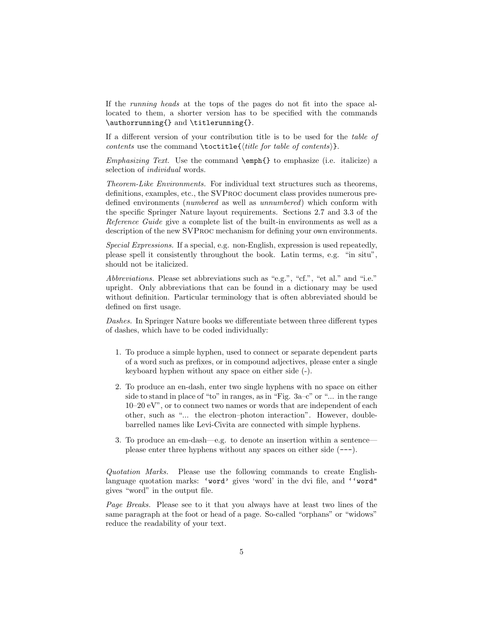<span id="page-4-0"></span>If the running heads at the tops of the pages do not fit into the space allocated to them, a shorter version has to be specified with the commands \authorrunning{} and \titlerunning{}.

If a different version of your contribution title is to be used for the table of contents use the command \toctitle{ $\{title\ for\ table\ of\ contents\}.$ 

Emphasizing Text. Use the command  $\emptyset$  to emphasize (i.e. italicize) a selection of individual words.

Theorem-Like Environments. For individual text structures such as theorems, definitions, examples, etc., the SVProc document class provides numerous predefined environments (numbered as well as unnumbered) which conform with the specific Springer Nature layout requirements. Sections 2.7 and 3.3 of the Reference Guide give a complete list of the built-in environments as well as a description of the new SVProc mechanism for defining your own environments.

Special Expressions. If a special, e.g. non-English, expression is used repeatedly, please spell it consistently throughout the book. Latin terms, e.g. "in situ", should not be italicized.

Abbreviations. Please set abbreviations such as "e.g.", "cf.", "et al." and "i.e." upright. Only abbreviations that can be found in a dictionary may be used without definition. Particular terminology that is often abbreviated should be defined on first usage.

Dashes. In Springer Nature books we differentiate between three different types of dashes, which have to be coded individually:

- 1. To produce a simple hyphen, used to connect or separate dependent parts of a word such as prefixes, or in compound adjectives, please enter a single keyboard hyphen without any space on either side (-).
- 2. To produce an en-dash, enter two single hyphens with no space on either side to stand in place of "to" in ranges, as in "Fig.  $3a-c$ " or "... in the range 10–20 eV", or to connect two names or words that are independent of each other, such as "... the electron–photon interaction". However, doublebarrelled names like Levi-Civita are connected with simple hyphens.
- 3. To produce an em-dash—e.g. to denote an insertion within a sentence please enter three hyphens without any spaces on either side (---).

Quotation Marks. Please use the following commands to create Englishlanguage quotation marks: 'word' gives 'word' in the dvi file, and ''word" gives "word" in the output file.

Page Breaks. Please see to it that you always have at least two lines of the same paragraph at the foot or head of a page. So-called "orphans" or "widows" reduce the readability of your text.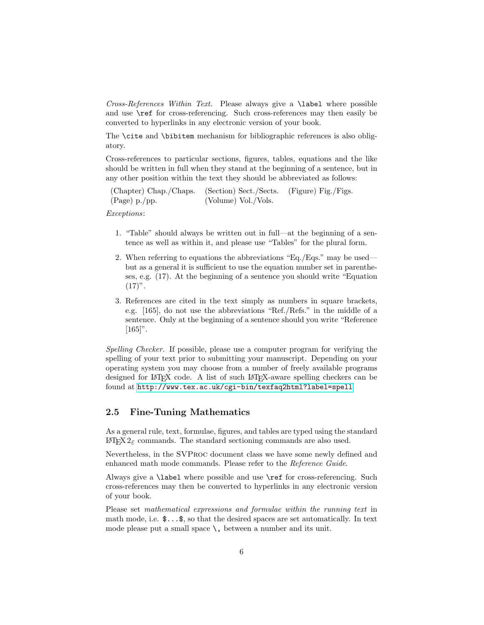<span id="page-5-1"></span>Cross-References Within Text. Please always give a \label where possible and use \ref for cross-referencing. Such cross-references may then easily be converted to hyperlinks in any electronic version of your book.

The \cite and \bibitem mechanism for bibliographic references is also obligatory.

Cross-references to particular sections, figures, tables, equations and the like should be written in full when they stand at the beginning of a sentence, but in any other position within the text they should be abbreviated as follows:

(Chapter) Chap./Chaps. (Section) Sect./Sects. (Figure) Fig./Figs. (Page) p./pp. (Volume) Vol./Vols.

Exceptions:

- 1. "Table" should always be written out in full—at the beginning of a sentence as well as within it, and please use "Tables" for the plural form.
- 2. When referring to equations the abbreviations "Eq./Eqs." may be used but as a general it is sufficient to use the equation number set in parentheses, e.g. (17). At the beginning of a sentence you should write "Equation  $(17)$ ".
- 3. References are cited in the text simply as numbers in square brackets, e.g. [165], do not use the abbreviations "Ref./Refs." in the middle of a sentence. Only at the beginning of a sentence should you write "Reference  $[165]$ ".

Spelling Checker. If possible, please use a computer program for verifying the spelling of your text prior to submitting your manuscript. Depending on your operating system you may choose from a number of freely available programs designed for LATEX code. A list of such LATEX-aware spelling checkers can be found at <http://www.tex.ac.uk/cgi-bin/texfaq2html?label=spell>

#### <span id="page-5-0"></span>2.5 Fine-Tuning Mathematics

As a general rule, text, formulae, figures, and tables are typed using the standard LAT<sub>F</sub>X 2<sub>ε</sub> commands. The standard sectioning commands are also used.

Nevertheless, in the SVProc document class we have some newly defined and enhanced math mode commands. Please refer to the Reference Guide.

Always give a \label where possible and use \ref for cross-referencing. Such cross-references may then be converted to hyperlinks in any electronic version of your book.

Please set mathematical expressions and formulae within the running text in math mode, i.e.  $\mathcal{F} \ldots \mathcal{F}$ , so that the desired spaces are set automatically. In text mode please put a small space  $\setminus$ , between a number and its unit.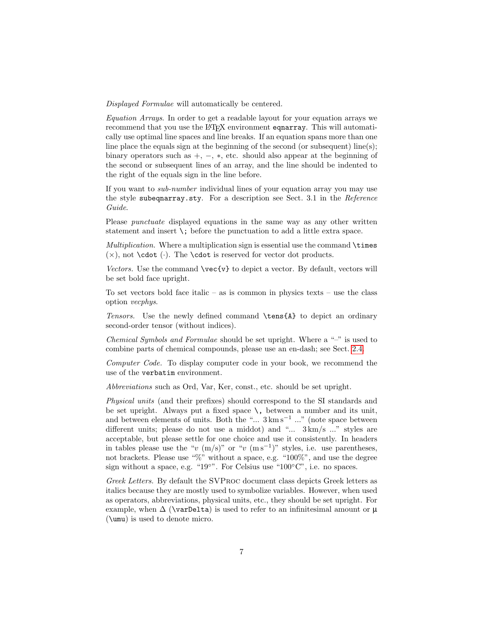<span id="page-6-0"></span>Displayed Formulae will automatically be centered.

Equation Arrays. In order to get a readable layout for your equation arrays we recommend that you use the L<sup>AT</sup>EX environment equarray. This will automatically use optimal line spaces and line breaks. If an equation spans more than one line place the equals sign at the beginning of the second (or subsequent) line(s); binary operators such as  $+$ ,  $-$ ,  $*$ , etc. should also appear at the beginning of the second or subsequent lines of an array, and the line should be indented to the right of the equals sign in the line before.

If you want to sub-number individual lines of your equation array you may use the style subeqnarray.sty. For a description see Sect. 3.1 in the Reference Guide.

Please punctuate displayed equations in the same way as any other written statement and insert  $\chi$ ; before the punctuation to add a little extra space.

*Multiplication*. Where a multiplication sign is essential use the command  $\times$  $(\times)$ , not **\cdot** (·). The **\cdot** is reserved for vector dot products.

Vectors. Use the command  $\vec{v}$  to depict a vector. By default, vectors will be set bold face upright.

To set vectors bold face italic – as is common in physics texts – use the class option vecphys.

Tensors. Use the newly defined command \tens{A} to depict an ordinary second-order tensor (without indices).

Chemical Symbols and Formulae should be set upright. Where a "–" is used to combine parts of chemical compounds, please use an en-dash; see Sect. [2.4.](#page-3-0)

Computer Code. To display computer code in your book, we recommend the use of the verbatim environment.

Abbreviations such as Ord, Var, Ker, const., etc. should be set upright.

Physical units (and their prefixes) should correspond to the SI standards and be set upright. Always put a fixed space  $\setminus$ , between a number and its unit, and between elements of units. Both the "...  $3 \text{ km s}^{-1}$  ..." (note space between different units; please do not use a middot) and "...  $3 \text{ km/s}$  ..." styles are acceptable, but please settle for one choice and use it consistently. In headers in tables please use the "v  $(m/s)$ " or "v  $(m s^{-1})$ " styles, i.e. use parentheses, not brackets. Please use "%" without a space, e.g. "100%", and use the degree sign without a space, e.g. "19°". For Celsius use "100 $^{\circ}$ C", i.e. no spaces.

Greek Letters. By default the SVProc document class depicts Greek letters as italics because they are mostly used to symbolize variables. However, when used as operators, abbreviations, physical units, etc., they should be set upright. For example, when  $\Delta$  (\varDelta) is used to refer to an infinitesimal amount or  $\mu$ (\umu) is used to denote micro.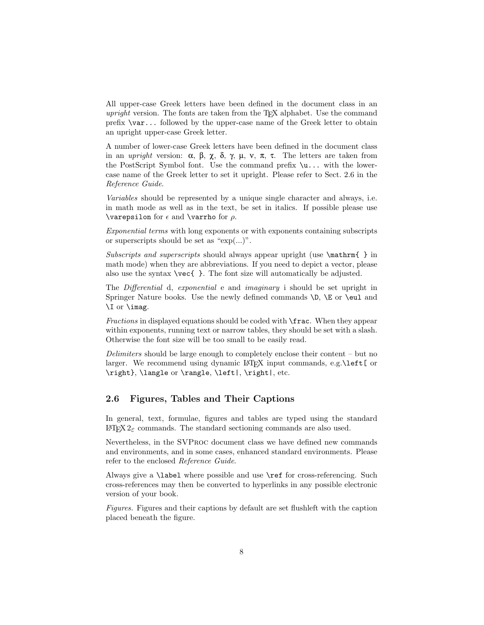<span id="page-7-1"></span>All upper-case Greek letters have been defined in the document class in an upright version. The fonts are taken from the  $T<sub>F</sub>X$  alphabet. Use the command prefix \var... followed by the upper-case name of the Greek letter to obtain an upright upper-case Greek letter.

A number of lower-case Greek letters have been defined in the document class in an *upright* version: α, β,  $\chi$ , δ,  $\gamma$ , μ, ν, π, τ. The letters are taken from the PostScript Symbol font. Use the command prefix  $\{u \dots$  with the lowercase name of the Greek letter to set it upright. Please refer to Sect. 2.6 in the Reference Guide.

Variables should be represented by a unique single character and always, i.e. in math mode as well as in the text, be set in italics. If possible please use  $\varphi$  for  $\epsilon$  and  $\varphi$  for  $\rho$ .

Exponential terms with long exponents or with exponents containing subscripts or superscripts should be set as " $\exp(...)$ ".

Subscripts and superscripts should always appear upright (use \mathrm{ } in math mode) when they are abbreviations. If you need to depict a vector, please also use the syntax \vec{ }. The font size will automatically be adjusted.

The Differential d, exponential e and imaginary i should be set upright in Springer Nature books. Use the newly defined commands  $\D$ ,  $\E$  or  $\ell$ ul and \I or \imag.

Fractions in displayed equations should be coded with **\frac**. When they appear within exponents, running text or narrow tables, they should be set with a slash. Otherwise the font size will be too small to be easily read.

Delimiters should be large enough to completely enclose their content – but no larger. We recommend using dynamic LAT<sub>E</sub>X input commands, e.g.\left[ or \right}, \langle or \rangle, \left|, \right|, etc.

#### <span id="page-7-0"></span>2.6 Figures, Tables and Their Captions

In general, text, formulae, figures and tables are typed using the standard LAT<sub>E</sub>X 2<sub>ε</sub> commands. The standard sectioning commands are also used.

Nevertheless, in the SVProc document class we have defined new commands and environments, and in some cases, enhanced standard environments. Please refer to the enclosed Reference Guide.

Always give a \label where possible and use \ref for cross-referencing. Such cross-references may then be converted to hyperlinks in any possible electronic version of your book.

Figures. Figures and their captions by default are set flushleft with the caption placed beneath the figure.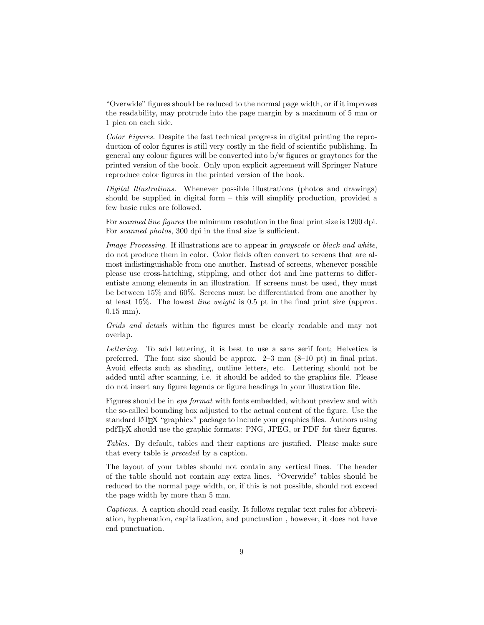<span id="page-8-0"></span>"Overwide" figures should be reduced to the normal page width, or if it improves the readability, may protrude into the page margin by a maximum of 5 mm or 1 pica on each side.

Color Figures. Despite the fast technical progress in digital printing the reproduction of color figures is still very costly in the field of scientific publishing. In general any colour figures will be converted into b/w figures or graytones for the printed version of the book. Only upon explicit agreement will Springer Nature reproduce color figures in the printed version of the book.

Digital Illustrations. Whenever possible illustrations (photos and drawings) should be supplied in digital form – this will simplify production, provided a few basic rules are followed.

For scanned line figures the minimum resolution in the final print size is 1200 dpi. For scanned photos, 300 dpi in the final size is sufficient.

Image Processing. If illustrations are to appear in grayscale or black and white, do not produce them in color. Color fields often convert to screens that are almost indistinguishable from one another. Instead of screens, whenever possible please use cross-hatching, stippling, and other dot and line patterns to differentiate among elements in an illustration. If screens must be used, they must be between 15% and 60%. Screens must be differentiated from one another by at least 15%. The lowest line weight is 0.5 pt in the final print size (approx. 0.15 mm).

Grids and details within the figures must be clearly readable and may not overlap.

Lettering. To add lettering, it is best to use a sans serif font; Helvetica is preferred. The font size should be approx. 2–3 mm (8–10 pt) in final print. Avoid effects such as shading, outline letters, etc. Lettering should not be added until after scanning, i.e. it should be added to the graphics file. Please do not insert any figure legends or figure headings in your illustration file.

Figures should be in eps format with fonts embedded, without preview and with the so-called bounding box adjusted to the actual content of the figure. Use the standard LATEX "graphicx" package to include your graphics files. Authors using pdfTEX should use the graphic formats: PNG, JPEG, or PDF for their figures.

Tables. By default, tables and their captions are justified. Please make sure that every table is preceded by a caption.

The layout of your tables should not contain any vertical lines. The header of the table should not contain any extra lines. "Overwide" tables should be reduced to the normal page width, or, if this is not possible, should not exceed the page width by more than 5 mm.

Captions. A caption should read easily. It follows regular text rules for abbreviation, hyphenation, capitalization, and punctuation , however, it does not have end punctuation.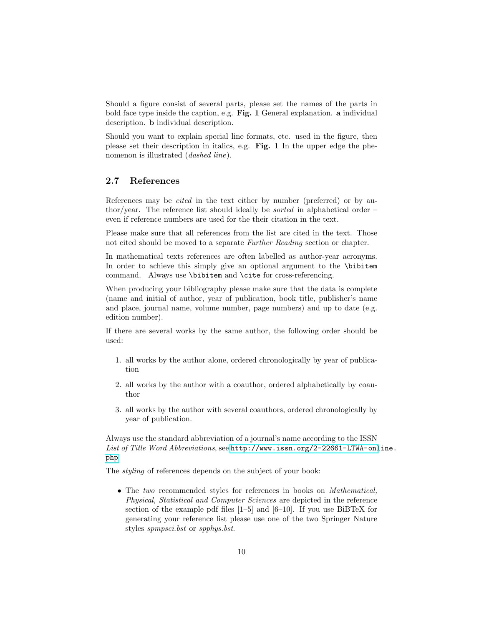<span id="page-9-1"></span>Should a figure consist of several parts, please set the names of the parts in bold face type inside the caption, e.g. Fig. 1 General explanation. a individual description. b individual description.

Should you want to explain special line formats, etc. used in the figure, then please set their description in italics, e.g. Fig. 1 In the upper edge the phenomenon is illustrated (dashed line).

#### <span id="page-9-0"></span>2.7 References

References may be cited in the text either by number (preferred) or by author/year. The reference list should ideally be sorted in alphabetical order – even if reference numbers are used for the their citation in the text.

Please make sure that all references from the list are cited in the text. Those not cited should be moved to a separate Further Reading section or chapter.

In mathematical texts references are often labelled as author-year acronyms. In order to achieve this simply give an optional argument to the **\bibitem** command. Always use \bibitem and \cite for cross-referencing.

When producing your bibliography please make sure that the data is complete (name and initial of author, year of publication, book title, publisher's name and place, journal name, volume number, page numbers) and up to date (e.g. edition number).

If there are several works by the same author, the following order should be used:

- 1. all works by the author alone, ordered chronologically by year of publication
- 2. all works by the author with a coauthor, ordered alphabetically by coauthor
- 3. all works by the author with several coauthors, ordered chronologically by year of publication.

Always use the standard abbreviation of a journal's name according to the ISSN List of Title Word Abbreviations, see [http://www.issn.org/2-22661-LTWA-onl](http://www.issn.org/2-22661-LTWA-online.php)ine. [php](http://www.issn.org/2-22661-LTWA-online.php)

The *styling* of references depends on the subject of your book:

• The two recommended styles for references in books on *Mathematical*, Physical, Statistical and Computer Sciences are depicted in the reference section of the example pdf files [1–5] and [6–10]. If you use BiBTeX for generating your reference list please use one of the two Springer Nature styles spmpsci.bst or spphys.bst.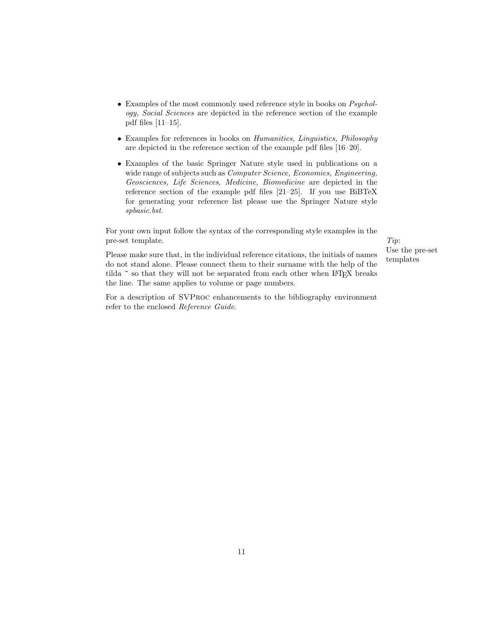- Examples of the most commonly used reference style in books on *Psychol*ogy, Social Sciences are depicted in the reference section of the example pdf files [11–15].
- Examples for references in books on Humanities, Linguistics, Philosophy are depicted in the reference section of the example pdf files [16–20].
- Examples of the basic Springer Nature style used in publications on a wide range of subjects such as Computer Science, Economics, Engineering, Geosciences, Life Sciences, Medicine, Biomedicine are depicted in the reference section of the example pdf files [21–25]. If you use BiBTeX for generating your reference list please use the Springer Nature style spbasic.bst.

For your own input follow the syntax of the corresponding style examples in the pre-set template. The set of  $Tip$ :

Use the pre-set

Please make sure that, in the individual reference citations, the initials of names<br>the plates of the initial results of the initial results of the initial<br>structure of the initial results of the initial results of the in do not stand alone. Please connect them to their surname with the help of the tilda  $\tilde{ }$  so that they will not be separated from each other when LAT<sub>E</sub>X breaks the line. The same applies to volume or page numbers.

For a description of SVProc enhancements to the bibliography environment refer to the enclosed Reference Guide.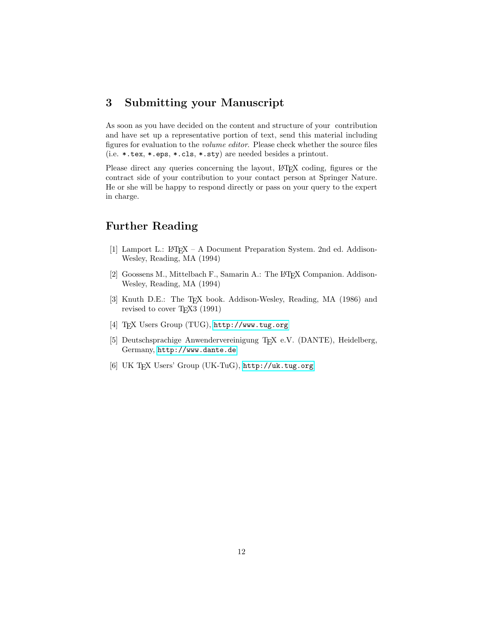# <span id="page-11-0"></span>3 Submitting your Manuscript

As soon as you have decided on the content and structure of your contribution and have set up a representative portion of text, send this material including figures for evaluation to the volume editor. Please check whether the source files (i.e. \*.tex, \*.eps, \*.cls, \*.sty) are needed besides a printout.

Please direct any queries concerning the layout, LAT<sub>EX</sub> coding, figures or the contract side of your contribution to your contact person at Springer Nature. He or she will be happy to respond directly or pass on your query to the expert in charge.

# <span id="page-11-1"></span>Further Reading

- <span id="page-11-2"></span>[1] Lamport L.: LATEX – A Document Preparation System. 2nd ed. Addison-Wesley, Reading, MA (1994)
- [2] Goossens M., Mittelbach F., Samarin A.: The L<sup>A</sup>T<sub>EX</sub> Companion. Addison-Wesley, Reading, MA (1994)
- <span id="page-11-3"></span>[3] Knuth D.E.: The TFX book. Addison-Wesley, Reading, MA (1986) and revised to cover T<sub>E</sub>X3 (1991)
- <span id="page-11-4"></span>[4] TEX Users Group (TUG), <http://www.tug.org>
- [5] Deutschsprachige Anwendervereinigung TEX e.V. (DANTE), Heidelberg, Germany, <http://www.dante.de>
- <span id="page-11-5"></span>[6] UK TEX Users' Group (UK-TuG), <http://uk.tug.org>